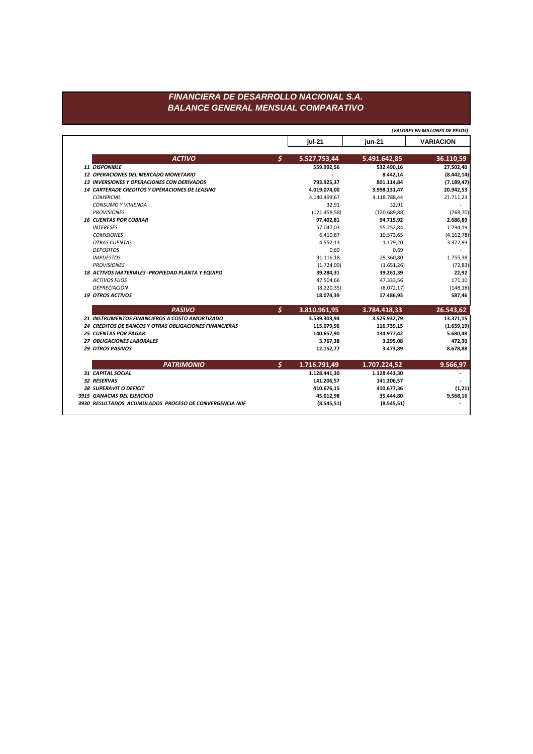## FINANCIERA DE DESARROLLO NACIONAL S.A. **BALANCE GENERAL MENSUAL COMPARATIVO**

(VALORES EN MILLONES DE PESOS)

|                                                        |                      | jul-21       | $jun-21$      | <b>VARIACION</b> |
|--------------------------------------------------------|----------------------|--------------|---------------|------------------|
| <b>ACTIVO</b>                                          | \$                   | 5.527.753,44 | 5.491.642,85  | 36.110,59        |
| <b>11 DISPONIBLE</b>                                   |                      | 559.992,56   | 532.490,16    | 27.502,40        |
| 12 OPERACIONES DEL MERCADO MONETARIO                   |                      |              | 8.442,14      | (8.442, 14)      |
| <b>13 INVERSIONES Y OPERACIONES CON DERIVADOS</b>      |                      | 793.925,37   | 801.114,84    | (7.189, 47)      |
| <b>14 CARTERADE CREDITOS Y OPERACIONES DE LEASING</b>  |                      | 4.019.074,00 | 3.998.131,47  | 20.942,53        |
| <b>COMERCIAL</b>                                       |                      | 4.140.499,67 | 4.118.788,44  | 21.711,23        |
| <b>CONSUMO Y VIVIENDA</b>                              |                      | 32,91        | 32,91         |                  |
| <b>PROVISIONES</b>                                     |                      | (121.458,58) | (120.689, 88) | (768, 70)        |
| <b>16 CUENTAS POR COBRAR</b>                           |                      | 97.402,81    | 94.715,92     | 2.686,89         |
| <b>INTERESES</b>                                       |                      | 57.047,03    | 55.252,84     | 1.794,19         |
| <b>COMISIONES</b>                                      |                      | 6.410,87     | 10.573,65     | (4.162, 78)      |
| <b>OTRAS CUENTAS</b>                                   |                      | 4.552,13     | 1.179,20      | 3.372,93         |
| <b>DEPOSITOS</b>                                       |                      | 0,69         | 0,69          |                  |
| <b>IMPUESTOS</b>                                       |                      | 31.116,18    | 29.360,80     | 1.755,38         |
| <b>PROVISIONES</b>                                     |                      | (1.724,09)   | (1.651, 26)   | (72, 83)         |
| 18 ACTIVOS MATERIALES - PROPIEDAD PLANTA Y EQUIPO      |                      | 39.284,31    | 39.261,39     | 22,92            |
| <b>ACTIVOS FIJOS</b>                                   |                      | 47.504,66    | 47.333,56     | 171,10           |
| DEPRECIACIÓN                                           |                      | (8.220, 35)  | (8.072, 17)   | (148, 18)        |
| <b>19 OTROS ACTIVOS</b>                                |                      | 18.074,39    | 17.486,93     | 587,46           |
| <b>PASIVO</b>                                          | $\boldsymbol{\zeta}$ | 3.810.961,95 | 3.784.418,33  | 26.543,62        |
| 21 INSTRUMENTOS FINANCIEROS A COSTO AMORTIZADO         |                      | 3.539.303,94 | 3.525.932,79  | 13.371,15        |
| 24 CREDITOS DE BANCOS Y OTRAS OBLIGACIONES FINANCIERAS |                      | 115.079,96   | 116.739,15    | (1.659, 19)      |
| <b>25 CUENTAS POR PAGAR</b>                            |                      | 140.657,90   | 134.977,42    | 5.680,48         |
| 27 OBLIGACIONES LABORALES                              |                      | 3.767,38     | 3.295,08      | 472,30           |
| <b>29 OTROS PASIVOS</b>                                |                      | 12.152,77    | 3.473,89      | 8.678,88         |
| <b>PATRIMONIO</b>                                      | $\mathsf{S}$         | 1.716.791,49 | 1.707.224,52  | 9.566,97         |
| 31 CAPITAL SOCIAL                                      |                      | 1.128.441,30 | 1.128.441,30  |                  |
| 32 RESERVAS                                            |                      | 141.206,57   | 141.206,57    |                  |
| <b>38 SUPERAVIT O DEFICIT</b>                          |                      | 410.676,15   | 410.677,36    | (1, 21)          |
| 3915 GANACIAS DEL EJERCICIO                            |                      | 45.012,98    | 35.444,80     | 9.568,16         |
|                                                        |                      |              |               |                  |